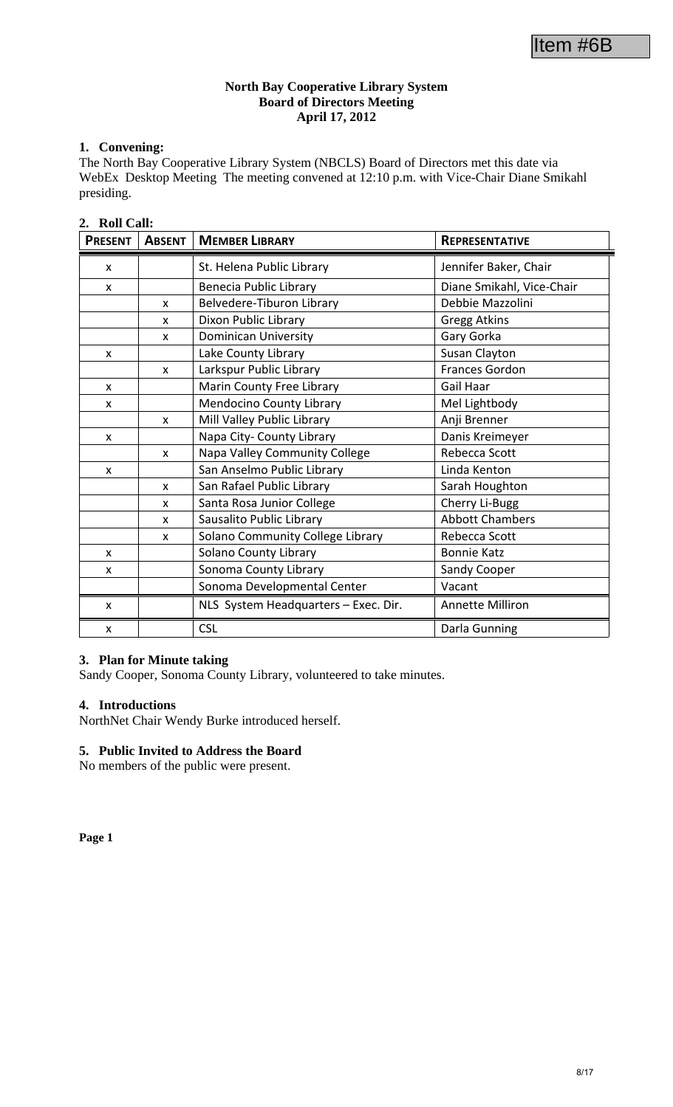### **North Bay Cooperative Library System Board of Directors Meeting April 17, 2012**

### **1. Convening:**

The North Bay Cooperative Library System (NBCLS) Board of Directors met this date via WebEx Desktop Meeting The meeting convened at 12:10 p.m. with Vice-Chair Diane Smikahl presiding.

### **2. Roll Call:**

| <b>PRESENT</b> | <b>ABSENT</b> | <b>MEMBER LIBRARY</b>                | <b>REPRESENTATIVE</b>     |
|----------------|---------------|--------------------------------------|---------------------------|
| X              |               | St. Helena Public Library            | Jennifer Baker, Chair     |
| X              |               | Benecia Public Library               | Diane Smikahl, Vice-Chair |
|                | X             | Belvedere-Tiburon Library            | Debbie Mazzolini          |
|                | x             | Dixon Public Library                 | <b>Gregg Atkins</b>       |
|                | $\mathsf{x}$  | <b>Dominican University</b>          | Gary Gorka                |
| X              |               | Lake County Library                  | Susan Clayton             |
|                | $\mathsf{x}$  | Larkspur Public Library              | Frances Gordon            |
| X              |               | Marin County Free Library            | Gail Haar                 |
| X              |               | <b>Mendocino County Library</b>      | Mel Lightbody             |
|                | X             | Mill Valley Public Library           | Anji Brenner              |
| X              |               | Napa City- County Library            | Danis Kreimeyer           |
|                | X             | Napa Valley Community College        | Rebecca Scott             |
| X              |               | San Anselmo Public Library           | Linda Kenton              |
|                | $\mathsf{x}$  | San Rafael Public Library            | Sarah Houghton            |
|                | X             | Santa Rosa Junior College            | Cherry Li-Bugg            |
|                | X             | Sausalito Public Library             | <b>Abbott Chambers</b>    |
|                | X             | Solano Community College Library     | Rebecca Scott             |
| X              |               | <b>Solano County Library</b>         | <b>Bonnie Katz</b>        |
| X              |               | Sonoma County Library                | Sandy Cooper              |
|                |               | Sonoma Developmental Center          | Vacant                    |
| X              |               | NLS System Headquarters - Exec. Dir. | <b>Annette Milliron</b>   |
| X              |               | <b>CSL</b>                           | Darla Gunning             |

#### **3. Plan for Minute taking**

Sandy Cooper, Sonoma County Library, volunteered to take minutes.

### **4. Introductions**

NorthNet Chair Wendy Burke introduced herself.

### **5. Public Invited to Address the Board**

No members of the public were present.

**Page 1**